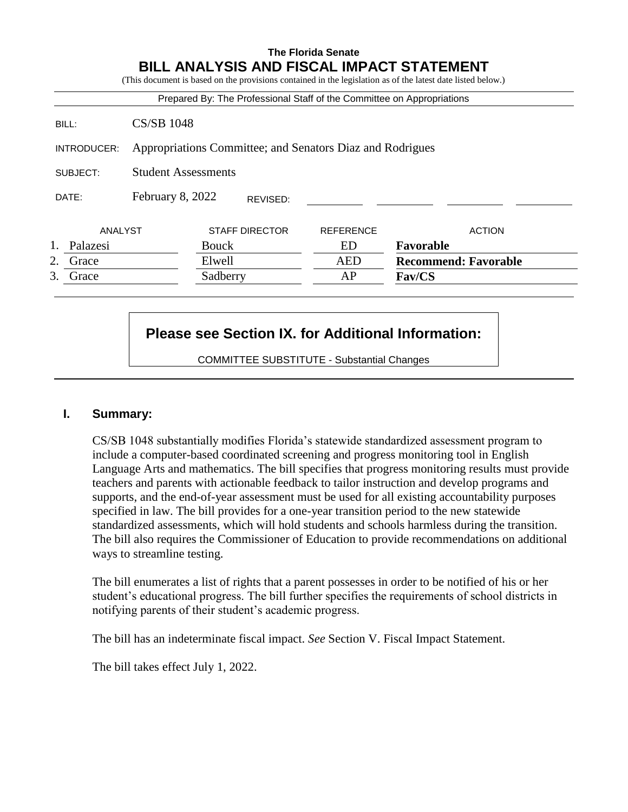### **The Florida Senate BILL ANALYSIS AND FISCAL IMPACT STATEMENT**

(This document is based on the provisions contained in the legislation as of the latest date listed below.) Prepared By: The Professional Staff of the Committee on Appropriations BILL: CS/SB 1048

INTRODUCER: Appropriations Committee; and Senators Diaz and Rodrigues

SUBJECT: Student Assessments

DATE: February 8, 2022 REVISED:

|               | ANALYST  | STAFF DIRECTOR | REFERENCE | <b>ACTION</b>               |
|---------------|----------|----------------|-----------|-----------------------------|
|               | Palazesi | Bouck          | ED        | Favorable                   |
| $\mathcal{L}$ | Grace    | Elwell         | AED       | <b>Recommend: Favorable</b> |
|               | Grace    | Sadberry       | AP        | <b>Fav/CS</b>               |

# **Please see Section IX. for Additional Information:**

COMMITTEE SUBSTITUTE - Substantial Changes

### **I. Summary:**

CS/SB 1048 substantially modifies Florida's statewide standardized assessment program to include a computer-based coordinated screening and progress monitoring tool in English Language Arts and mathematics. The bill specifies that progress monitoring results must provide teachers and parents with actionable feedback to tailor instruction and develop programs and supports, and the end-of-year assessment must be used for all existing accountability purposes specified in law. The bill provides for a one-year transition period to the new statewide standardized assessments, which will hold students and schools harmless during the transition. The bill also requires the Commissioner of Education to provide recommendations on additional ways to streamline testing.

The bill enumerates a list of rights that a parent possesses in order to be notified of his or her student's educational progress. The bill further specifies the requirements of school districts in notifying parents of their student's academic progress.

The bill has an indeterminate fiscal impact. *See* Section V. Fiscal Impact Statement.

The bill takes effect July 1, 2022.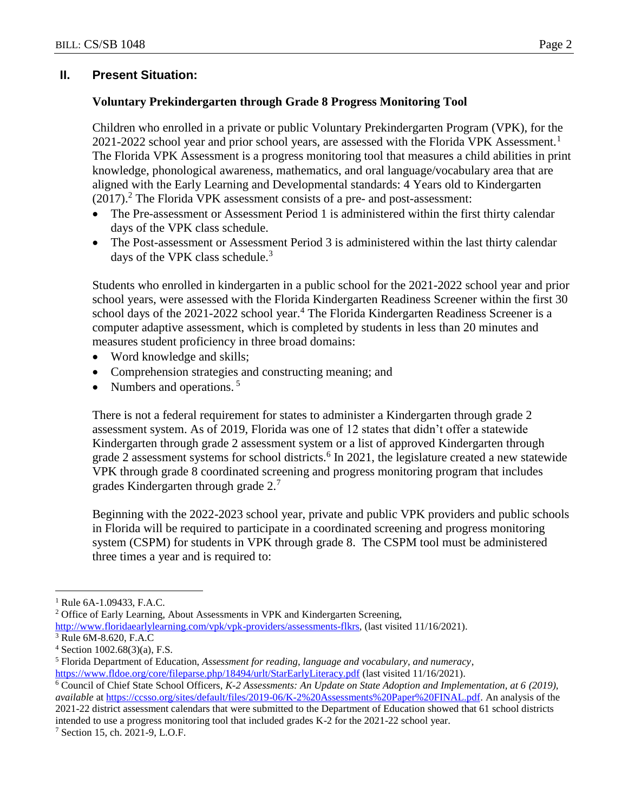### **II. Present Situation:**

#### **Voluntary Prekindergarten through Grade 8 Progress Monitoring Tool**

Children who enrolled in a private or public Voluntary Prekindergarten Program (VPK), for the 2021-2022 school year and prior school years, are assessed with the Florida VPK Assessment.<sup>1</sup> The Florida VPK Assessment is a progress monitoring tool that measures a child abilities in print knowledge, phonological awareness, mathematics, and oral language/vocabulary area that are aligned with the Early Learning and Developmental standards: 4 Years old to Kindergarten  $(2017).<sup>2</sup>$  The Florida VPK assessment consists of a pre- and post-assessment:

- The Pre-assessment or Assessment Period 1 is administered within the first thirty calendar days of the VPK class schedule.
- The Post-assessment or Assessment Period 3 is administered within the last thirty calendar days of the VPK class schedule. $3$

Students who enrolled in kindergarten in a public school for the 2021-2022 school year and prior school years, were assessed with the Florida Kindergarten Readiness Screener within the first 30 school days of the 2021-2022 school year.<sup>4</sup> The Florida Kindergarten Readiness Screener is a computer adaptive assessment, which is completed by students in less than 20 minutes and measures student proficiency in three broad domains:

- Word knowledge and skills;
- Comprehension strategies and constructing meaning; and
- Numbers and operations.<sup>5</sup>

There is not a federal requirement for states to administer a Kindergarten through grade 2 assessment system. As of 2019, Florida was one of 12 states that didn't offer a statewide Kindergarten through grade 2 assessment system or a list of approved Kindergarten through grade 2 assessment systems for school districts.<sup>6</sup> In 2021, the legislature created a new statewide VPK through grade 8 coordinated screening and progress monitoring program that includes grades Kindergarten through grade 2.<sup>7</sup>

Beginning with the 2022-2023 school year, private and public VPK providers and public schools in Florida will be required to participate in a coordinated screening and progress monitoring system (CSPM) for students in VPK through grade 8. The CSPM tool must be administered three times a year and is required to:

 $\overline{a}$ 

<sup>7</sup> Section 15, ch. 2021-9, L.O.F.

<sup>&</sup>lt;sup>1</sup> Rule 6A-1.09433, F.A.C.

<sup>&</sup>lt;sup>2</sup> Office of Early Learning, About Assessments in VPK and Kindergarten Screening,

[http://www.floridaearlylearning.com/vpk/vpk-providers/assessments-flkrs,](http://www.floridaearlylearning.com/vpk/vpk-providers/assessments-flkrs) (last visited 11/16/2021).

<sup>3</sup> Rule 6M-8.620, F.A.C

 $4$  Section 1002.68(3)(a), F.S.

<sup>5</sup> Florida Department of Education, *Assessment for reading, language and vocabulary, and numeracy*, <https://www.fldoe.org/core/fileparse.php/18494/urlt/StarEarlyLiteracy.pdf> (last visited 11/16/2021).

<sup>6</sup> Council of Chief State School Officers, *K-2 Assessments: An Update on State Adoption and Implementation, at 6 (2019), available* at [https://ccsso.org/sites/default/files/2019-06/K-2%20Assessments%20Paper%20FINAL.pdf.](https://ccsso.org/sites/default/files/2019-06/K-2%20Assessments%20Paper%20FINAL.pdf) An analysis of the 2021-22 district assessment calendars that were submitted to the Department of Education showed that 61 school districts intended to use a progress monitoring tool that included grades K-2 for the 2021-22 school year.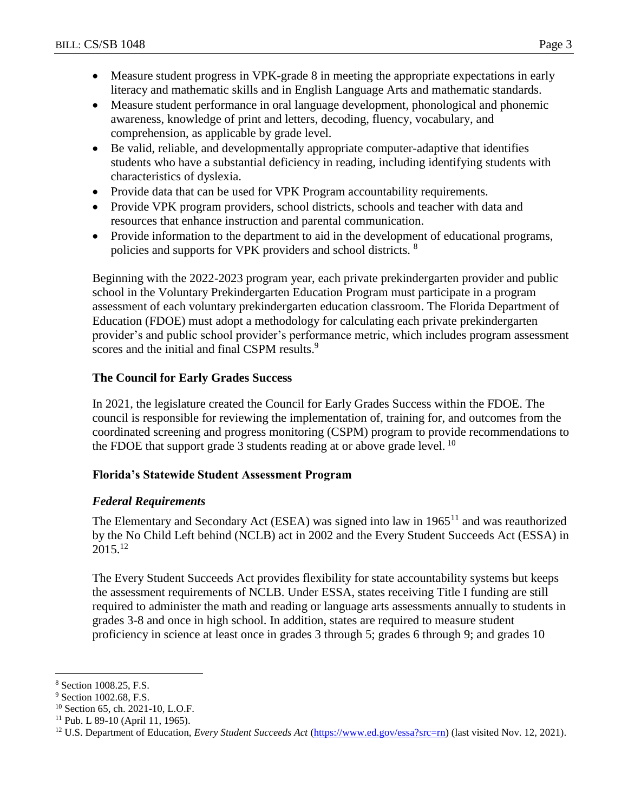- Measure student progress in VPK-grade 8 in meeting the appropriate expectations in early literacy and mathematic skills and in English Language Arts and mathematic standards.
- Measure student performance in oral language development, phonological and phonemic awareness, knowledge of print and letters, decoding, fluency, vocabulary, and comprehension, as applicable by grade level.
- Be valid, reliable, and developmentally appropriate computer-adaptive that identifies students who have a substantial deficiency in reading, including identifying students with characteristics of dyslexia.
- Provide data that can be used for VPK Program accountability requirements.
- Provide VPK program providers, school districts, schools and teacher with data and resources that enhance instruction and parental communication.
- Provide information to the department to aid in the development of educational programs, policies and supports for VPK providers and school districts. <sup>8</sup>

Beginning with the 2022-2023 program year, each private prekindergarten provider and public school in the Voluntary Prekindergarten Education Program must participate in a program assessment of each voluntary prekindergarten education classroom. The Florida Department of Education (FDOE) must adopt a methodology for calculating each private prekindergarten provider's and public school provider's performance metric, which includes program assessment scores and the initial and final CSPM results.<sup>9</sup>

## **The Council for Early Grades Success**

In 2021, the legislature created the Council for Early Grades Success within the FDOE. The council is responsible for reviewing the implementation of, training for, and outcomes from the coordinated screening and progress monitoring (CSPM) program to provide recommendations to the FDOE that support grade 3 students reading at or above grade level.  $^{10}$ 

## **Florida's Statewide Student Assessment Program**

## *Federal Requirements*

The Elementary and Secondary Act (ESEA) was signed into law in  $1965<sup>11</sup>$  and was reauthorized by the No Child Left behind (NCLB) act in 2002 and the Every Student Succeeds Act (ESSA) in  $2015^{12}$ 

The Every Student Succeeds Act provides flexibility for state accountability systems but keeps the assessment requirements of NCLB. Under ESSA, states receiving Title I funding are still required to administer the math and reading or language arts assessments annually to students in grades 3-8 and once in high school. In addition, states are required to measure student proficiency in science at least once in grades 3 through 5; grades 6 through 9; and grades 10

<sup>8</sup> Section 1008.25, F.S.

<sup>&</sup>lt;sup>9</sup> Section 1002.68, F.S.

<sup>&</sup>lt;sup>10</sup> Section 65, ch. 2021-10, L.O.F.

 $11$  Pub. L 89-10 (April 11, 1965).

<sup>&</sup>lt;sup>12</sup> U.S. Department of Education, *Every Student Succeeds Act* [\(https://www.ed.gov/essa?src=rn\)](https://www.ed.gov/essa?src=rn) (last visited Nov. 12, 2021).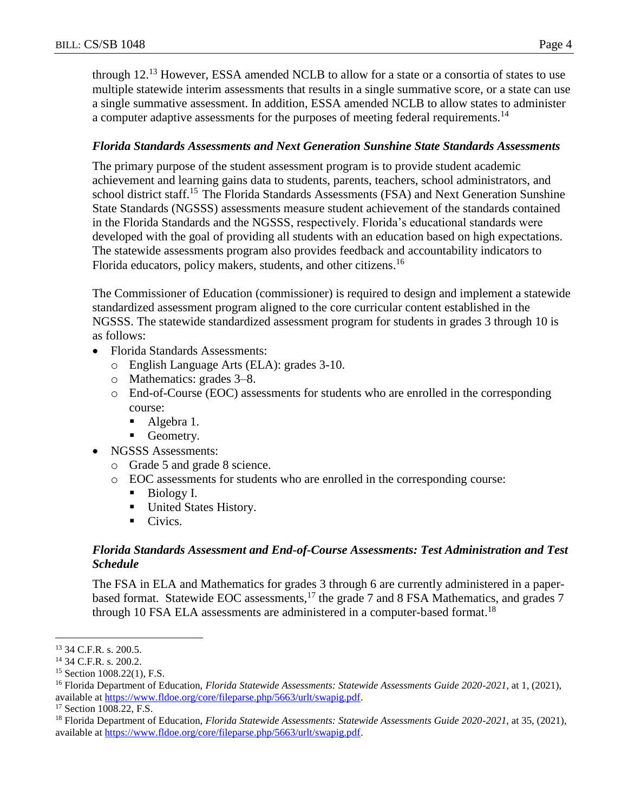through  $12<sup>13</sup>$  However, ESSA amended NCLB to allow for a state or a consortia of states to use multiple statewide interim assessments that results in a single summative score, or a state can use a single summative assessment. In addition, ESSA amended NCLB to allow states to administer a computer adaptive assessments for the purposes of meeting federal requirements.<sup>14</sup>

### *Florida Standards Assessments and Next Generation Sunshine State Standards Assessments*

The primary purpose of the student assessment program is to provide student academic achievement and learning gains data to students, parents, teachers, school administrators, and school district staff.<sup>15</sup> The Florida Standards Assessments (FSA) and Next Generation Sunshine State Standards (NGSSS) assessments measure student achievement of the standards contained in the Florida Standards and the NGSSS, respectively. Florida's educational standards were developed with the goal of providing all students with an education based on high expectations. The statewide assessments program also provides feedback and accountability indicators to Florida educators, policy makers, students, and other citizens.<sup>16</sup>

The Commissioner of Education (commissioner) is required to design and implement a statewide standardized assessment program aligned to the core curricular content established in the NGSSS. The statewide standardized assessment program for students in grades 3 through 10 is as follows:

- Florida Standards Assessments:
	- o English Language Arts (ELA): grades 3-10.
	- o Mathematics: grades 3–8.
	- o End-of-Course (EOC) assessments for students who are enrolled in the corresponding course:
		- Algebra 1.
		- Geometry.
- NGSSS Assessments:
	- o Grade 5 and grade 8 science.
	- o EOC assessments for students who are enrolled in the corresponding course:
		- Biology I.
		- **United States History.**
		- Civics.

### *Florida Standards Assessment and End-of-Course Assessments: Test Administration and Test Schedule*

The FSA in ELA and Mathematics for grades 3 through 6 are currently administered in a paperbased format. Statewide EOC assessments,<sup>17</sup> the grade 7 and 8 FSA Mathematics, and grades 7 through 10 FSA ELA assessments are administered in a computer-based format.<sup>18</sup>

<sup>13</sup> 34 C.F.R. s. 200.5.

<sup>14</sup> 34 C.F.R. s. 200.2.

<sup>&</sup>lt;sup>15</sup> Section 1008.22(1), F.S.

<sup>16</sup> Florida Department of Education, *Florida Statewide Assessments: Statewide Assessments Guide 2020-2021*, at 1, (2021), available at [https://www.fldoe.org/core/fileparse.php/5663/urlt/swapig.pdf.](https://www.fldoe.org/core/fileparse.php/5663/urlt/swapig.pdf)

<sup>&</sup>lt;sup>17</sup> Section 1008.22, F.S.

<sup>18</sup> Florida Department of Education, *Florida Statewide Assessments: Statewide Assessments Guide 2020-2021*, at 35, (2021), available at [https://www.fldoe.org/core/fileparse.php/5663/urlt/swapig.pdf.](https://www.fldoe.org/core/fileparse.php/5663/urlt/swapig.pdf)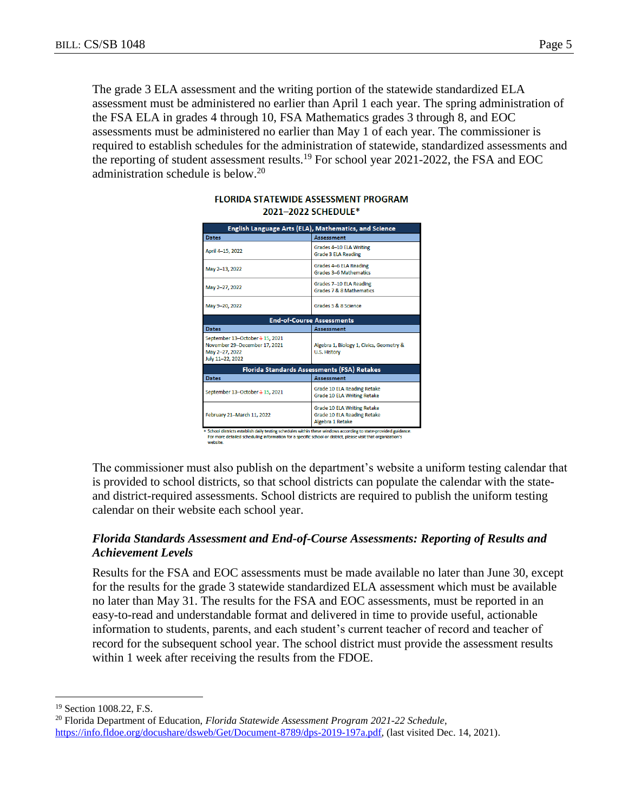The grade 3 ELA assessment and the writing portion of the statewide standardized ELA assessment must be administered no earlier than April 1 each year. The spring administration of the FSA ELA in grades 4 through 10, FSA Mathematics grades 3 through 8, and EOC assessments must be administered no earlier than May 1 of each year. The commissioner is required to establish schedules for the administration of statewide, standardized assessments and the reporting of student assessment results.<sup>19</sup> For school year 2021-2022, the FSA and EOC administration schedule is below.<sup>20</sup>

| English Language Arts (ELA), Mathematics, and Science                                                  |                                                                                                                                                                                                  |  |  |  |
|--------------------------------------------------------------------------------------------------------|--------------------------------------------------------------------------------------------------------------------------------------------------------------------------------------------------|--|--|--|
| <b>Dates</b>                                                                                           | <b>Assessment</b>                                                                                                                                                                                |  |  |  |
| April 4-15, 2022                                                                                       | Grades 4-10 ELA Writing<br><b>Grade 3 ELA Reading</b>                                                                                                                                            |  |  |  |
| May 2-13, 2022                                                                                         | Grades 4-6 ELA Reading<br>Grades 3-6 Mathematics                                                                                                                                                 |  |  |  |
| May 2-27, 2022                                                                                         | Grades 7-10 ELA Reading<br>Grades 7 & 8 Mathematics                                                                                                                                              |  |  |  |
| May 9-20, 2022                                                                                         | Grades 5 & 8 Science                                                                                                                                                                             |  |  |  |
| <b>End-of-Course Assessments</b>                                                                       |                                                                                                                                                                                                  |  |  |  |
| <b>Dates</b>                                                                                           | Assessment                                                                                                                                                                                       |  |  |  |
| September 13-October 4 15, 2021<br>November 29-December 17, 2021<br>May 2-27, 2022<br>July 11-22, 2022 | Algebra 1, Biology 1, Civics, Geometry &<br>U.S. History                                                                                                                                         |  |  |  |
| Florida Standards Assessments (FSA) Retakes                                                            |                                                                                                                                                                                                  |  |  |  |
| <b>Dates</b>                                                                                           | <b>Assessment</b>                                                                                                                                                                                |  |  |  |
| September 13-October 4 15, 2021                                                                        | Grade 10 ELA Reading Retake<br>Grade 10 ELA Writing Retake                                                                                                                                       |  |  |  |
| February 21-March 11, 2022                                                                             | Grade 10 ELA Writing Retake<br>Grade 10 ELA Reading Retake<br>Algebra 1 Retake<br>r. Peband dieteiete octoblick daily toeting cebodylog within those windows according to state provided gyüdang |  |  |  |

#### **FLORIDA STATEWIDE ASSESSMENT PROGRAM** 2021-2022 SCHEDULE\*

For more detailed scheduling information for a specific school or district, please visit that organization's

The commissioner must also publish on the department's website a uniform testing calendar that is provided to school districts, so that school districts can populate the calendar with the stateand district-required assessments. School districts are required to publish the uniform testing calendar on their website each school year.

### *Florida Standards Assessment and End-of-Course Assessments: Reporting of Results and Achievement Levels*

Results for the FSA and EOC assessments must be made available no later than June 30, except for the results for the grade 3 statewide standardized ELA assessment which must be available no later than May 31. The results for the FSA and EOC assessments, must be reported in an easy-to-read and understandable format and delivered in time to provide useful, actionable information to students, parents, and each student's current teacher of record and teacher of record for the subsequent school year. The school district must provide the assessment results within 1 week after receiving the results from the FDOE.

<sup>&</sup>lt;sup>19</sup> Section 1008.22, F.S.

<sup>20</sup> Florida Department of Education, *Florida Statewide Assessment Program 2021-22 Schedule*, [https://info.fldoe.org/docushare/dsweb/Get/Document-8789/dps-2019-197a.pdf,](https://info.fldoe.org/docushare/dsweb/Get/Document-8789/dps-2019-197a.pdf) (last visited Dec. 14, 2021).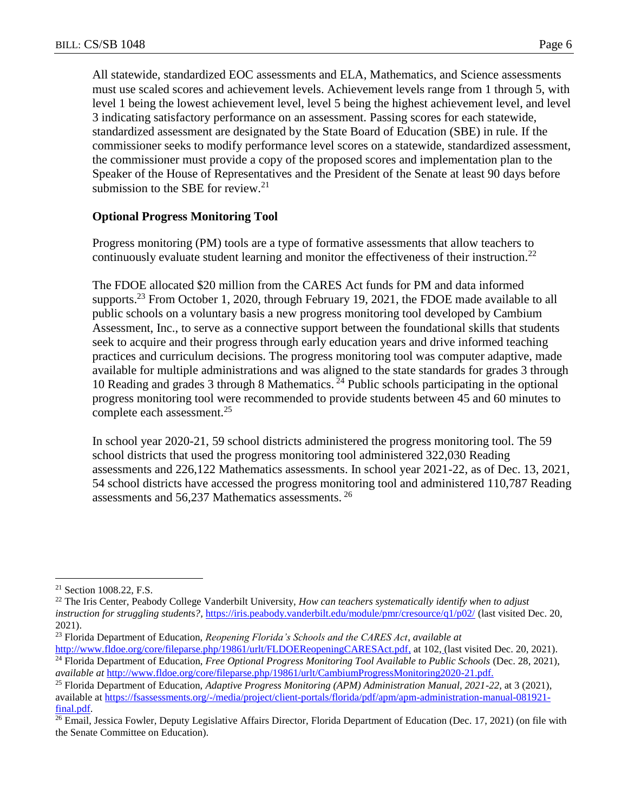All statewide, standardized EOC assessments and ELA, Mathematics, and Science assessments must use scaled scores and achievement levels. Achievement levels range from 1 through 5, with level 1 being the lowest achievement level, level 5 being the highest achievement level, and level 3 indicating satisfactory performance on an assessment. Passing scores for each statewide, standardized assessment are designated by the State Board of Education (SBE) in rule. If the commissioner seeks to modify performance level scores on a statewide, standardized assessment, the commissioner must provide a copy of the proposed scores and implementation plan to the Speaker of the House of Representatives and the President of the Senate at least 90 days before submission to the SBE for review. $21$ 

### **Optional Progress Monitoring Tool**

Progress monitoring (PM) tools are a type of formative assessments that allow teachers to continuously evaluate student learning and monitor the effectiveness of their instruction.<sup>22</sup>

The FDOE allocated \$20 million from the CARES Act funds for PM and data informed supports.<sup>23</sup> From October 1, 2020, through February 19, 2021, the FDOE made available to all public schools on a voluntary basis a new progress monitoring tool developed by Cambium Assessment, Inc., to serve as a connective support between the foundational skills that students seek to acquire and their progress through early education years and drive informed teaching practices and curriculum decisions. The progress monitoring tool was computer adaptive, made available for multiple administrations and was aligned to the state standards for grades 3 through 10 Reading and grades 3 through 8 Mathematics.  $^{24}$  Public schools participating in the optional progress monitoring tool were recommended to provide students between 45 and 60 minutes to complete each assessment.<sup>25</sup>

In school year 2020-21, 59 school districts administered the progress monitoring tool. The 59 school districts that used the progress monitoring tool administered 322,030 Reading assessments and 226,122 Mathematics assessments. In school year 2021-22, as of Dec. 13, 2021, 54 school districts have accessed the progress monitoring tool and administered 110,787 Reading assessments and 56,237 Mathematics assessments. <sup>26</sup>

<sup>21</sup> Section 1008.22, F.S.

<sup>22</sup> The Iris Center, Peabody College Vanderbilt University, *How can teachers systematically identify when to adjust instruction for struggling students?*, <https://iris.peabody.vanderbilt.edu/module/pmr/cresource/q1/p02/> (last visited Dec. 20, 2021).

<sup>23</sup> Florida Department of Education, *Reopening Florida's Schools and the CARES Act*, *available at*

[http://www.fldoe.org/core/fileparse.php/19861/urlt/FLDOEReopeningCARESAct.pdf,](http://www.fldoe.org/core/fileparse.php/19861/urlt/FLDOEReopeningCARESAct.pdf) at 10[2,](http://www.fldoe.org/core/fileparse.php/19861/urlt/FLDOEReopeningCARESAct.pdf) (last visited Dec. 20, 2021). <sup>24</sup> Florida Department of Education, *Free Optional Progress Monitoring Tool Available to Public Schools* (Dec. 28, 2021), *available at* [http://www.fldoe.org/core/fileparse.php/19861/urlt/CambiumProgressMonitoring2020-21.pdf.](http://www.fldoe.org/core/fileparse.php/19861/urlt/CambiumProgressMonitoring2020-21.pdf)

<sup>25</sup> Florida Department of Education, *Adaptive Progress Monitoring (APM) Administration Manual, 2021-22*, at 3 (2021), available at [https://fsassessments.org/-/media/project/client-portals/florida/pdf/apm/apm-administration-manual-081921](https://fsassessments.org/-/media/project/client-portals/florida/pdf/apm/apm-administration-manual-081921-final.pdf) [final.pdf.](https://fsassessments.org/-/media/project/client-portals/florida/pdf/apm/apm-administration-manual-081921-final.pdf)

<sup>&</sup>lt;sup>26</sup> Email, Jessica Fowler, Deputy Legislative Affairs Director, Florida Department of Education (Dec. 17, 2021) (on file with the Senate Committee on Education).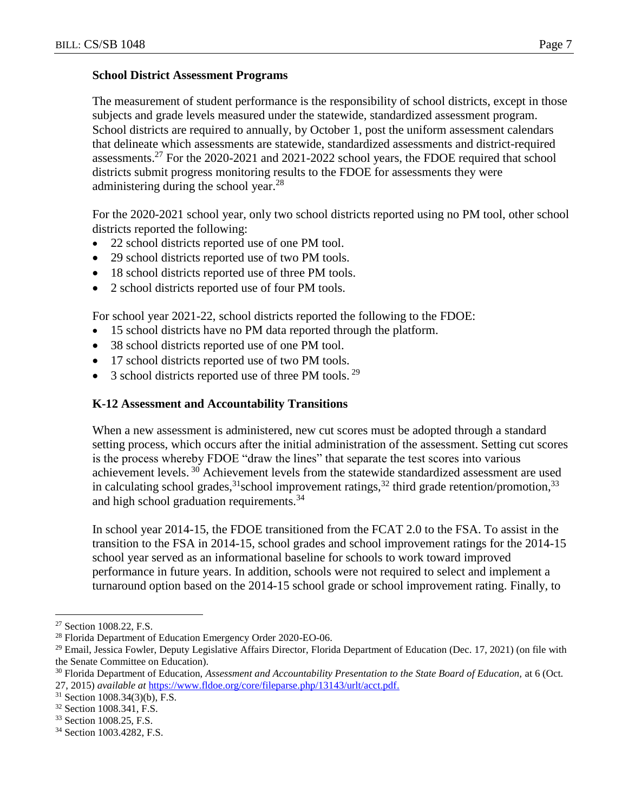#### **School District Assessment Programs**

The measurement of student performance is the responsibility of school districts, except in those subjects and grade levels measured under the statewide, standardized assessment program. School districts are required to annually, by October 1, post the uniform assessment calendars that delineate which assessments are statewide, standardized assessments and district-required assessments.<sup>27</sup> For the 2020-2021 and 2021-2022 school years, the FDOE required that school districts submit progress monitoring results to the FDOE for assessments they were administering during the school year.<sup>28</sup>

For the 2020-2021 school year, only two school districts reported using no PM tool, other school districts reported the following:

- 22 school districts reported use of one PM tool.
- 29 school districts reported use of two PM tools.
- 18 school districts reported use of three PM tools.
- 2 school districts reported use of four PM tools.

For school year 2021-22, school districts reported the following to the FDOE:

- 15 school districts have no PM data reported through the platform.
- 38 school districts reported use of one PM tool.
- 17 school districts reported use of two PM tools.
- $\bullet$  3 school districts reported use of three PM tools.<sup>29</sup>

### **K-12 Assessment and Accountability Transitions**

When a new assessment is administered, new cut scores must be adopted through a standard setting process, which occurs after the initial administration of the assessment. Setting cut scores is the process whereby FDOE "draw the lines" that separate the test scores into various achievement levels.<sup>30</sup> Achievement levels from the statewide standardized assessment are used in calculating school grades,<sup>31</sup>school improvement ratings,<sup>32</sup> third grade retention/promotion,<sup>33</sup> and high school graduation requirements.<sup>34</sup>

In school year 2014-15, the FDOE transitioned from the FCAT 2.0 to the FSA. To assist in the transition to the FSA in 2014-15, school grades and school improvement ratings for the 2014-15 school year served as an informational baseline for schools to work toward improved performance in future years. In addition, schools were not required to select and implement a turnaround option based on the 2014-15 school grade or school improvement rating. Finally, to

<sup>27</sup> Section 1008.22, F.S.

<sup>28</sup> Florida Department of Education Emergency Order 2020-EO-06.

 $29$  Email, Jessica Fowler, Deputy Legislative Affairs Director, Florida Department of Education (Dec. 17, 2021) (on file with the Senate Committee on Education).

<sup>&</sup>lt;sup>30</sup> Florida Department of Education, *Assessment and Accountability Presentation to the State Board of Education*, at 6 (Oct. 27, 2015) *available at* [https://www.fldoe.org/core/fileparse.php/13143/urlt/acct.pdf.](https://www.fldoe.org/core/fileparse.php/13143/urlt/acct.pdf)

<sup>31</sup> Section 1008.34(3)(b), F.S.

<sup>32</sup> Section 1008.341, F.S.

<sup>33</sup> Section 1008.25, F.S.

<sup>34</sup> Section 1003.4282, F.S.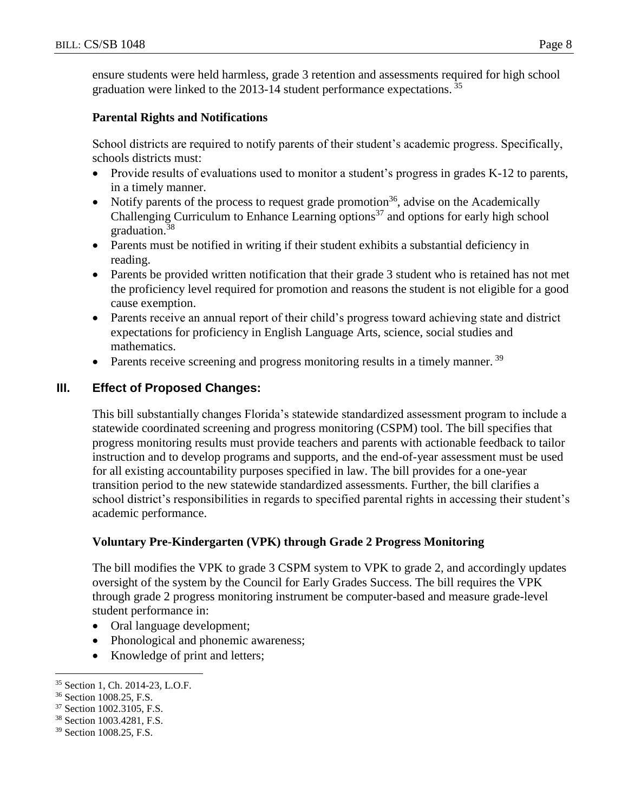ensure students were held harmless, grade 3 retention and assessments required for high school graduation were linked to the 2013-14 student performance expectations.<sup>35</sup>

#### **Parental Rights and Notifications**

School districts are required to notify parents of their student's academic progress. Specifically, schools districts must:

- Provide results of evaluations used to monitor a student's progress in grades K-12 to parents, in a timely manner.
- Notify parents of the process to request grade promotion<sup>36</sup>, advise on the Academically Challenging Curriculum to Enhance Learning options<sup>37</sup> and options for early high school graduation.<sup>38</sup>
- Parents must be notified in writing if their student exhibits a substantial deficiency in reading.
- Parents be provided written notification that their grade 3 student who is retained has not met the proficiency level required for promotion and reasons the student is not eligible for a good cause exemption.
- Parents receive an annual report of their child's progress toward achieving state and district expectations for proficiency in English Language Arts, science, social studies and mathematics.
- Parents receive screening and progress monitoring results in a timely manner.  $39$

### **III. Effect of Proposed Changes:**

This bill substantially changes Florida's statewide standardized assessment program to include a statewide coordinated screening and progress monitoring (CSPM) tool. The bill specifies that progress monitoring results must provide teachers and parents with actionable feedback to tailor instruction and to develop programs and supports, and the end-of-year assessment must be used for all existing accountability purposes specified in law. The bill provides for a one-year transition period to the new statewide standardized assessments. Further, the bill clarifies a school district's responsibilities in regards to specified parental rights in accessing their student's academic performance.

### **Voluntary Pre-Kindergarten (VPK) through Grade 2 Progress Monitoring**

The bill modifies the VPK to grade 3 CSPM system to VPK to grade 2, and accordingly updates oversight of the system by the Council for Early Grades Success. The bill requires the VPK through grade 2 progress monitoring instrument be computer-based and measure grade-level student performance in:

- Oral language development;
- Phonological and phonemic awareness;
- Knowledge of print and letters;

<sup>35</sup> Section 1, Ch. 2014-23, L.O.F.

<sup>36</sup> Section 1008.25, F.S.

<sup>37</sup> Section 1002.3105, F.S.

<sup>38</sup> Section 1003.4281, F.S.

<sup>39</sup> Section 1008.25, F.S.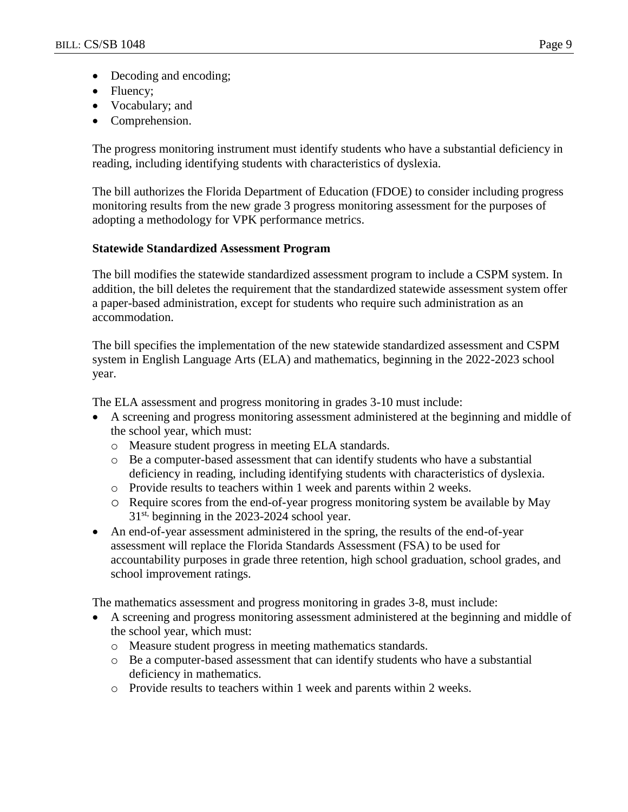- Decoding and encoding;
- Fluency;
- Vocabulary; and
- Comprehension.

The progress monitoring instrument must identify students who have a substantial deficiency in reading, including identifying students with characteristics of dyslexia.

The bill authorizes the Florida Department of Education (FDOE) to consider including progress monitoring results from the new grade 3 progress monitoring assessment for the purposes of adopting a methodology for VPK performance metrics.

### **Statewide Standardized Assessment Program**

The bill modifies the statewide standardized assessment program to include a CSPM system. In addition, the bill deletes the requirement that the standardized statewide assessment system offer a paper-based administration, except for students who require such administration as an accommodation.

The bill specifies the implementation of the new statewide standardized assessment and CSPM system in English Language Arts (ELA) and mathematics, beginning in the 2022-2023 school year.

The ELA assessment and progress monitoring in grades 3-10 must include:

- A screening and progress monitoring assessment administered at the beginning and middle of the school year, which must:
	- o Measure student progress in meeting ELA standards.
	- o Be a computer-based assessment that can identify students who have a substantial deficiency in reading, including identifying students with characteristics of dyslexia.
	- o Provide results to teachers within 1 week and parents within 2 weeks.
	- o Require scores from the end-of-year progress monitoring system be available by May 31<sup>st,</sup> beginning in the 2023-2024 school year.
- An end-of-year assessment administered in the spring, the results of the end-of-year assessment will replace the Florida Standards Assessment (FSA) to be used for accountability purposes in grade three retention, high school graduation, school grades, and school improvement ratings.

The mathematics assessment and progress monitoring in grades 3-8, must include:

- A screening and progress monitoring assessment administered at the beginning and middle of the school year, which must:
	- o Measure student progress in meeting mathematics standards.
	- o Be a computer-based assessment that can identify students who have a substantial deficiency in mathematics.
	- o Provide results to teachers within 1 week and parents within 2 weeks.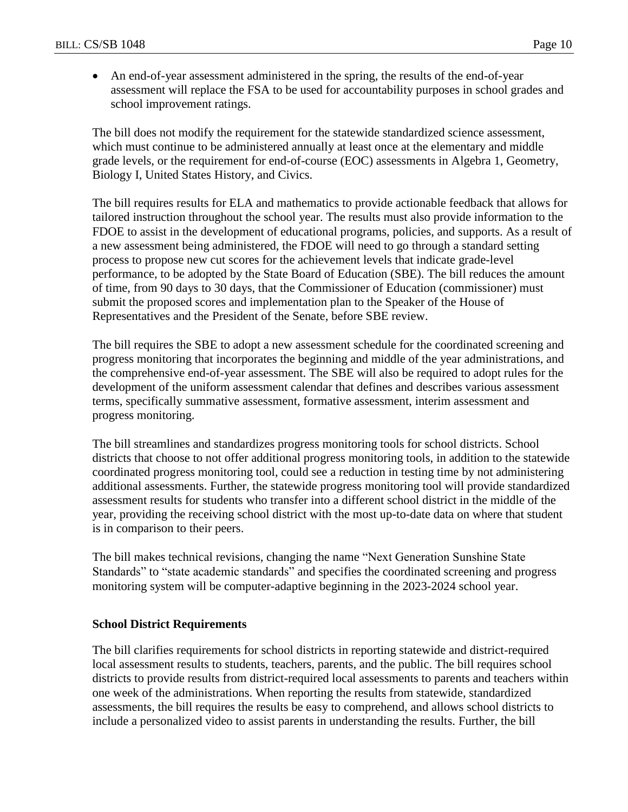An end-of-year assessment administered in the spring, the results of the end-of-year assessment will replace the FSA to be used for accountability purposes in school grades and school improvement ratings.

The bill does not modify the requirement for the statewide standardized science assessment, which must continue to be administered annually at least once at the elementary and middle grade levels, or the requirement for end-of-course (EOC) assessments in Algebra 1, Geometry, Biology I, United States History, and Civics.

The bill requires results for ELA and mathematics to provide actionable feedback that allows for tailored instruction throughout the school year. The results must also provide information to the FDOE to assist in the development of educational programs, policies, and supports. As a result of a new assessment being administered, the FDOE will need to go through a standard setting process to propose new cut scores for the achievement levels that indicate grade-level performance, to be adopted by the State Board of Education (SBE). The bill reduces the amount of time, from 90 days to 30 days, that the Commissioner of Education (commissioner) must submit the proposed scores and implementation plan to the Speaker of the House of Representatives and the President of the Senate, before SBE review.

The bill requires the SBE to adopt a new assessment schedule for the coordinated screening and progress monitoring that incorporates the beginning and middle of the year administrations, and the comprehensive end-of-year assessment. The SBE will also be required to adopt rules for the development of the uniform assessment calendar that defines and describes various assessment terms, specifically summative assessment, formative assessment, interim assessment and progress monitoring.

The bill streamlines and standardizes progress monitoring tools for school districts. School districts that choose to not offer additional progress monitoring tools, in addition to the statewide coordinated progress monitoring tool, could see a reduction in testing time by not administering additional assessments. Further, the statewide progress monitoring tool will provide standardized assessment results for students who transfer into a different school district in the middle of the year, providing the receiving school district with the most up-to-date data on where that student is in comparison to their peers.

The bill makes technical revisions, changing the name "Next Generation Sunshine State Standards" to "state academic standards" and specifies the coordinated screening and progress monitoring system will be computer-adaptive beginning in the 2023-2024 school year.

#### **School District Requirements**

The bill clarifies requirements for school districts in reporting statewide and district-required local assessment results to students, teachers, parents, and the public. The bill requires school districts to provide results from district-required local assessments to parents and teachers within one week of the administrations. When reporting the results from statewide, standardized assessments, the bill requires the results be easy to comprehend, and allows school districts to include a personalized video to assist parents in understanding the results. Further, the bill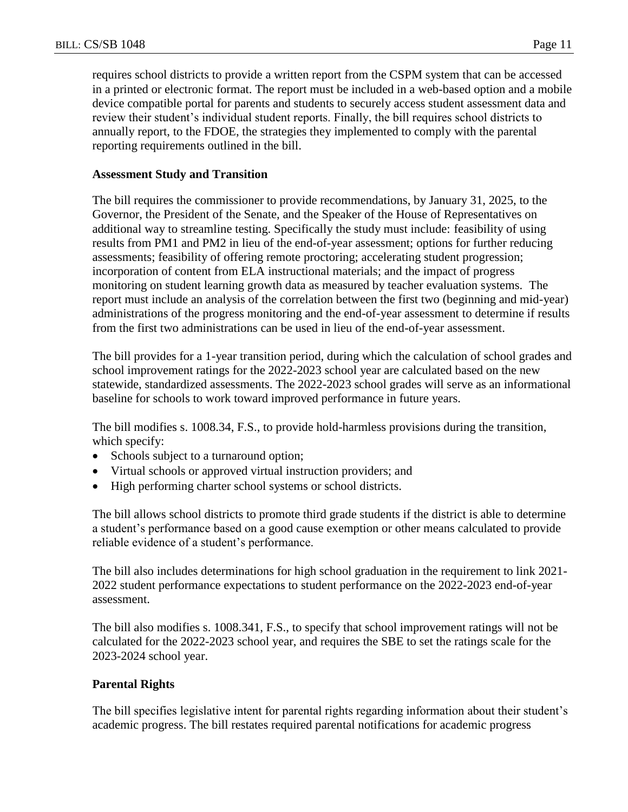requires school districts to provide a written report from the CSPM system that can be accessed in a printed or electronic format. The report must be included in a web-based option and a mobile device compatible portal for parents and students to securely access student assessment data and review their student's individual student reports. Finally, the bill requires school districts to annually report, to the FDOE, the strategies they implemented to comply with the parental reporting requirements outlined in the bill.

#### **Assessment Study and Transition**

The bill requires the commissioner to provide recommendations, by January 31, 2025, to the Governor, the President of the Senate, and the Speaker of the House of Representatives on additional way to streamline testing. Specifically the study must include: feasibility of using results from PM1 and PM2 in lieu of the end-of-year assessment; options for further reducing assessments; feasibility of offering remote proctoring; accelerating student progression; incorporation of content from ELA instructional materials; and the impact of progress monitoring on student learning growth data as measured by teacher evaluation systems. The report must include an analysis of the correlation between the first two (beginning and mid-year) administrations of the progress monitoring and the end-of-year assessment to determine if results from the first two administrations can be used in lieu of the end-of-year assessment.

The bill provides for a 1-year transition period, during which the calculation of school grades and school improvement ratings for the 2022-2023 school year are calculated based on the new statewide, standardized assessments. The 2022-2023 school grades will serve as an informational baseline for schools to work toward improved performance in future years.

The bill modifies s. 1008.34, F.S., to provide hold-harmless provisions during the transition, which specify:

- Schools subject to a turnaround option;
- Virtual schools or approved virtual instruction providers; and
- High performing charter school systems or school districts.

The bill allows school districts to promote third grade students if the district is able to determine a student's performance based on a good cause exemption or other means calculated to provide reliable evidence of a student's performance.

The bill also includes determinations for high school graduation in the requirement to link 2021- 2022 student performance expectations to student performance on the 2022-2023 end-of-year assessment.

The bill also modifies s. 1008.341, F.S., to specify that school improvement ratings will not be calculated for the 2022-2023 school year, and requires the SBE to set the ratings scale for the 2023-2024 school year.

#### **Parental Rights**

The bill specifies legislative intent for parental rights regarding information about their student's academic progress. The bill restates required parental notifications for academic progress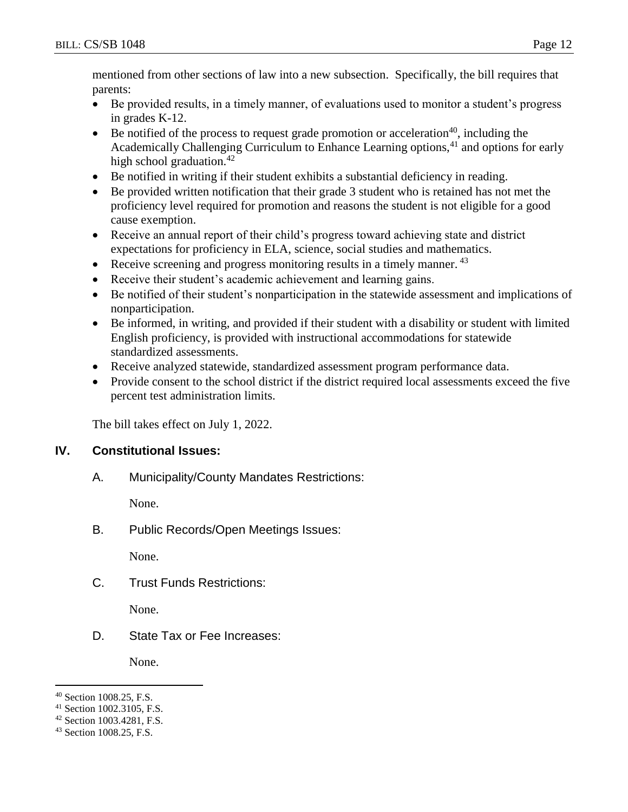mentioned from other sections of law into a new subsection. Specifically, the bill requires that parents:

- Be provided results, in a timely manner, of evaluations used to monitor a student's progress in grades K-12.
- Be notified of the process to request grade promotion or acceleration<sup>40</sup>, including the Academically Challenging Curriculum to Enhance Learning options,<sup>41</sup> and options for early high school graduation. $42$
- Be notified in writing if their student exhibits a substantial deficiency in reading.
- Be provided written notification that their grade 3 student who is retained has not met the proficiency level required for promotion and reasons the student is not eligible for a good cause exemption.
- Receive an annual report of their child's progress toward achieving state and district expectations for proficiency in ELA, science, social studies and mathematics.
- Receive screening and progress monitoring results in a timely manner.  $43$
- Receive their student's academic achievement and learning gains.
- Be notified of their student's nonparticipation in the statewide assessment and implications of nonparticipation.
- Be informed, in writing, and provided if their student with a disability or student with limited English proficiency, is provided with instructional accommodations for statewide standardized assessments.
- Receive analyzed statewide, standardized assessment program performance data.
- Provide consent to the school district if the district required local assessments exceed the five percent test administration limits.

The bill takes effect on July 1, 2022.

### **IV. Constitutional Issues:**

A. Municipality/County Mandates Restrictions:

None.

B. Public Records/Open Meetings Issues:

None.

C. Trust Funds Restrictions:

None.

D. State Tax or Fee Increases:

None.

 $\overline{a}$ <sup>40</sup> Section 1008.25, F.S.

<sup>41</sup> Section 1002.3105, F.S.

<sup>42</sup> Section 1003.4281, F.S.

<sup>43</sup> Section 1008.25, F.S.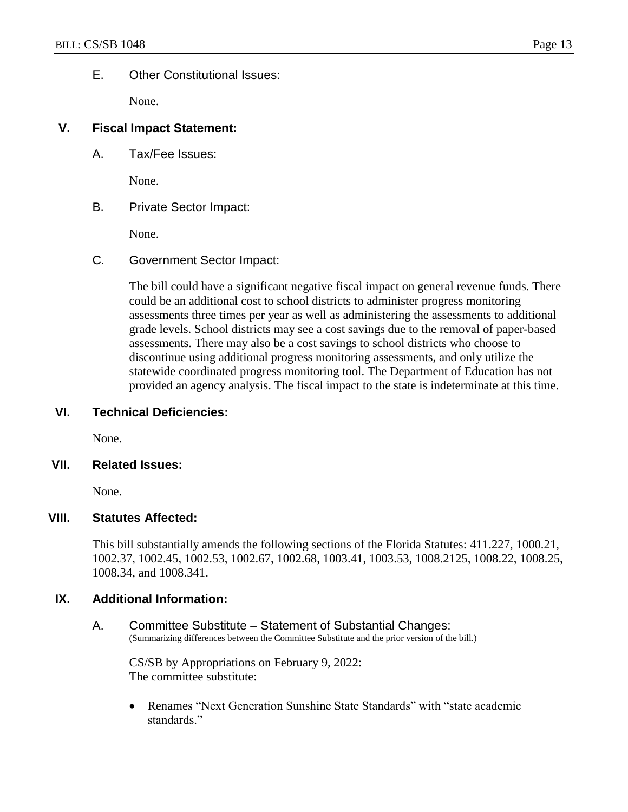#### E. Other Constitutional Issues:

None.

#### **V. Fiscal Impact Statement:**

A. Tax/Fee Issues:

None.

B. Private Sector Impact:

None.

C. Government Sector Impact:

The bill could have a significant negative fiscal impact on general revenue funds. There could be an additional cost to school districts to administer progress monitoring assessments three times per year as well as administering the assessments to additional grade levels. School districts may see a cost savings due to the removal of paper-based assessments. There may also be a cost savings to school districts who choose to discontinue using additional progress monitoring assessments, and only utilize the statewide coordinated progress monitoring tool. The Department of Education has not provided an agency analysis. The fiscal impact to the state is indeterminate at this time.

#### **VI. Technical Deficiencies:**

None.

#### **VII. Related Issues:**

None.

#### **VIII. Statutes Affected:**

This bill substantially amends the following sections of the Florida Statutes: 411.227, 1000.21, 1002.37, 1002.45, 1002.53, 1002.67, 1002.68, 1003.41, 1003.53, 1008.2125, 1008.22, 1008.25, 1008.34, and 1008.341.

#### **IX. Additional Information:**

A. Committee Substitute – Statement of Substantial Changes: (Summarizing differences between the Committee Substitute and the prior version of the bill.)

CS/SB by Appropriations on February 9, 2022: The committee substitute:

 Renames "Next Generation Sunshine State Standards" with "state academic standards."